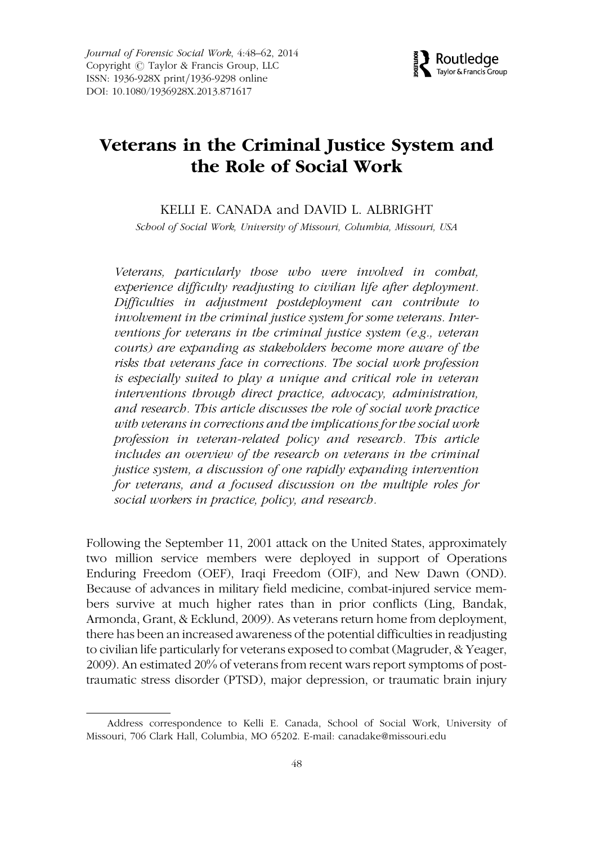

# Veterans in the Criminal Justice System and the Role of Social Work

KELLI E. CANADA and DAVID L. ALBRIGHT

School of Social Work, University of Missouri, Columbia, Missouri, USA

Veterans, particularly those who were involved in combat, experience difficulty readjusting to civilian life after deployment. Difficulties in adjustment postdeployment can contribute to involvement in the criminal justice system for some veterans. Interventions for veterans in the criminal justice system (e.g., veteran courts) are expanding as stakeholders become more aware of the risks that veterans face in corrections. The social work profession is especially suited to play a unique and critical role in veteran interventions through direct practice, advocacy, administration, and research. This article discusses the role of social work practice with veterans in corrections and the implications for the social work profession in veteran-related policy and research. This article includes an overview of the research on veterans in the criminal justice system, a discussion of one rapidly expanding intervention for veterans, and a focused discussion on the multiple roles for social workers in practice, policy, and research.

Following the September 11, 2001 attack on the United States, approximately two million service members were deployed in support of Operations Enduring Freedom (OEF), Iraqi Freedom (OIF), and New Dawn (OND). Because of advances in military field medicine, combat-injured service members survive at much higher rates than in prior conflicts (Ling, Bandak, Armonda, Grant, & Ecklund, 2009). As veterans return home from deployment, there has been an increased awareness of the potential difficulties in readjusting to civilian life particularly for veterans exposed to combat (Magruder, & Yeager, 2009). An estimated 20% of veterans from recent wars report symptoms of posttraumatic stress disorder (PTSD), major depression, or traumatic brain injury

Address correspondence to Kelli E. Canada, School of Social Work, University of Missouri, 706 Clark Hall, Columbia, MO 65202. E-mail: canadake@missouri.edu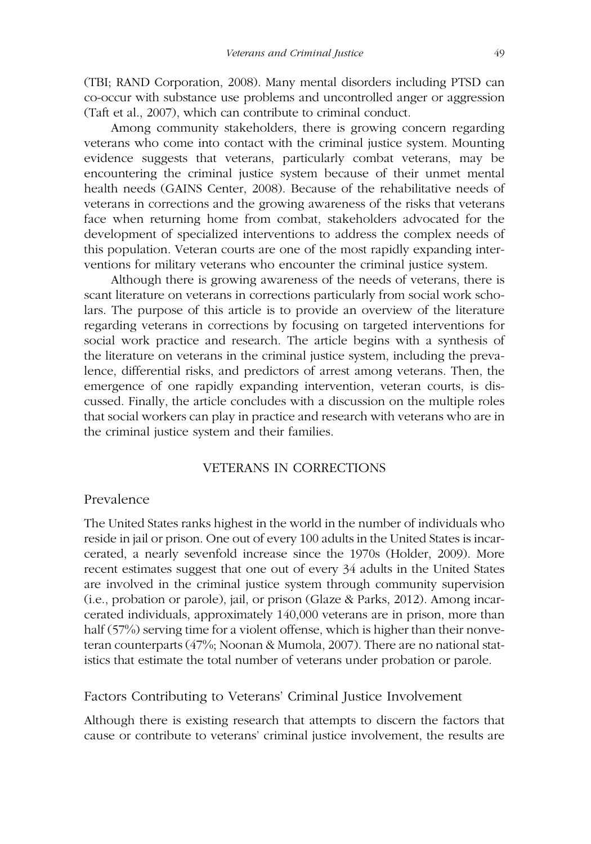(TBI; RAND Corporation, 2008). Many mental disorders including PTSD can co-occur with substance use problems and uncontrolled anger or aggression (Taft et al., 2007), which can contribute to criminal conduct.

Among community stakeholders, there is growing concern regarding veterans who come into contact with the criminal justice system. Mounting evidence suggests that veterans, particularly combat veterans, may be encountering the criminal justice system because of their unmet mental health needs (GAINS Center, 2008). Because of the rehabilitative needs of veterans in corrections and the growing awareness of the risks that veterans face when returning home from combat, stakeholders advocated for the development of specialized interventions to address the complex needs of this population. Veteran courts are one of the most rapidly expanding interventions for military veterans who encounter the criminal justice system.

Although there is growing awareness of the needs of veterans, there is scant literature on veterans in corrections particularly from social work scholars. The purpose of this article is to provide an overview of the literature regarding veterans in corrections by focusing on targeted interventions for social work practice and research. The article begins with a synthesis of the literature on veterans in the criminal justice system, including the prevalence, differential risks, and predictors of arrest among veterans. Then, the emergence of one rapidly expanding intervention, veteran courts, is discussed. Finally, the article concludes with a discussion on the multiple roles that social workers can play in practice and research with veterans who are in the criminal justice system and their families.

## VETERANS IN CORRECTIONS

# Prevalence

The United States ranks highest in the world in the number of individuals who reside in jail or prison. One out of every 100 adults in the United States is incarcerated, a nearly sevenfold increase since the 1970s (Holder, 2009). More recent estimates suggest that one out of every 34 adults in the United States are involved in the criminal justice system through community supervision (i.e., probation or parole), jail, or prison (Glaze & Parks, 2012). Among incarcerated individuals, approximately 140,000 veterans are in prison, more than half (57%) serving time for a violent offense, which is higher than their nonveteran counterparts (47%; Noonan & Mumola, 2007). There are no national statistics that estimate the total number of veterans under probation or parole.

## Factors Contributing to Veterans' Criminal Justice Involvement

Although there is existing research that attempts to discern the factors that cause or contribute to veterans' criminal justice involvement, the results are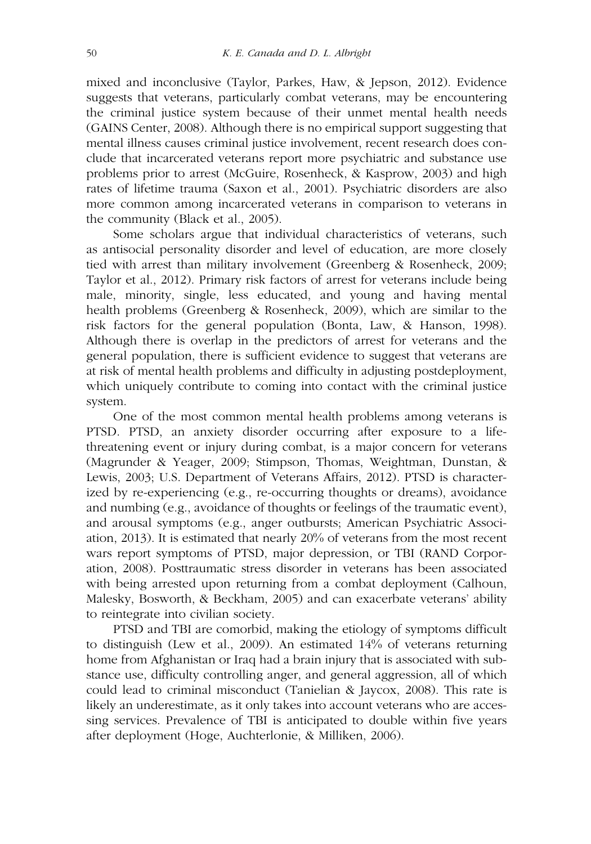mixed and inconclusive (Taylor, Parkes, Haw, & Jepson, 2012). Evidence suggests that veterans, particularly combat veterans, may be encountering the criminal justice system because of their unmet mental health needs (GAINS Center, 2008). Although there is no empirical support suggesting that mental illness causes criminal justice involvement, recent research does conclude that incarcerated veterans report more psychiatric and substance use problems prior to arrest (McGuire, Rosenheck, & Kasprow, 2003) and high rates of lifetime trauma (Saxon et al., 2001). Psychiatric disorders are also more common among incarcerated veterans in comparison to veterans in the community (Black et al., 2005).

Some scholars argue that individual characteristics of veterans, such as antisocial personality disorder and level of education, are more closely tied with arrest than military involvement (Greenberg & Rosenheck, 2009; Taylor et al., 2012). Primary risk factors of arrest for veterans include being male, minority, single, less educated, and young and having mental health problems (Greenberg & Rosenheck, 2009), which are similar to the risk factors for the general population (Bonta, Law, & Hanson, 1998). Although there is overlap in the predictors of arrest for veterans and the general population, there is sufficient evidence to suggest that veterans are at risk of mental health problems and difficulty in adjusting postdeployment, which uniquely contribute to coming into contact with the criminal justice system.

One of the most common mental health problems among veterans is PTSD. PTSD, an anxiety disorder occurring after exposure to a lifethreatening event or injury during combat, is a major concern for veterans (Magrunder & Yeager, 2009; Stimpson, Thomas, Weightman, Dunstan, & Lewis, 2003; U.S. Department of Veterans Affairs, 2012). PTSD is characterized by re-experiencing (e.g., re-occurring thoughts or dreams), avoidance and numbing (e.g., avoidance of thoughts or feelings of the traumatic event), and arousal symptoms (e.g., anger outbursts; American Psychiatric Association, 2013). It is estimated that nearly 20% of veterans from the most recent wars report symptoms of PTSD, major depression, or TBI (RAND Corporation, 2008). Posttraumatic stress disorder in veterans has been associated with being arrested upon returning from a combat deployment (Calhoun, Malesky, Bosworth, & Beckham, 2005) and can exacerbate veterans' ability to reintegrate into civilian society.

PTSD and TBI are comorbid, making the etiology of symptoms difficult to distinguish (Lew et al., 2009). An estimated 14% of veterans returning home from Afghanistan or Iraq had a brain injury that is associated with substance use, difficulty controlling anger, and general aggression, all of which could lead to criminal misconduct (Tanielian & Jaycox, 2008). This rate is likely an underestimate, as it only takes into account veterans who are accessing services. Prevalence of TBI is anticipated to double within five years after deployment (Hoge, Auchterlonie, & Milliken, 2006).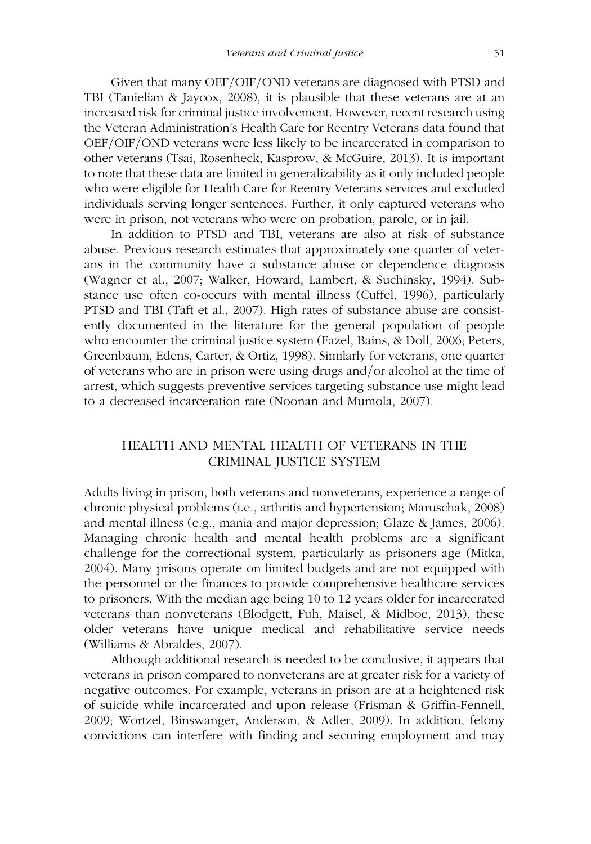Given that many OEF/OIF/OND veterans are diagnosed with PTSD and TBI (Tanielian & Jaycox, 2008), it is plausible that these veterans are at an increased risk for criminal justice involvement. However, recent research using the Veteran Administration's Health Care for Reentry Veterans data found that OEF/OIF/OND veterans were less likely to be incarcerated in comparison to other veterans (Tsai, Rosenheck, Kasprow, & McGuire, 2013). It is important to note that these data are limited in generalizability as it only included people who were eligible for Health Care for Reentry Veterans services and excluded individuals serving longer sentences. Further, it only captured veterans who were in prison, not veterans who were on probation, parole, or in jail.

In addition to PTSD and TBI, veterans are also at risk of substance abuse. Previous research estimates that approximately one quarter of veterans in the community have a substance abuse or dependence diagnosis (Wagner et al., 2007; Walker, Howard, Lambert, & Suchinsky, 1994). Substance use often co-occurs with mental illness (Cuffel, 1996), particularly PTSD and TBI (Taft et al., 2007). High rates of substance abuse are consistently documented in the literature for the general population of people who encounter the criminal justice system (Fazel, Bains, & Doll, 2006; Peters, Greenbaum, Edens, Carter, & Ortiz, 1998). Similarly for veterans, one quarter of veterans who are in prison were using drugs and/or alcohol at the time of arrest, which suggests preventive services targeting substance use might lead to a decreased incarceration rate (Noonan and Mumola, 2007).

# HEALTH AND MENTAL HEALTH OF VETERANS IN THE CRIMINAL JUSTICE SYSTEM

Adults living in prison, both veterans and nonveterans, experience a range of chronic physical problems (i.e., arthritis and hypertension; Maruschak, 2008) and mental illness (e.g., mania and major depression; Glaze & James, 2006). Managing chronic health and mental health problems are a significant challenge for the correctional system, particularly as prisoners age (Mitka, 2004). Many prisons operate on limited budgets and are not equipped with the personnel or the finances to provide comprehensive healthcare services to prisoners. With the median age being 10 to 12 years older for incarcerated veterans than nonveterans (Blodgett, Fuh, Maisel, & Midboe, 2013), these older veterans have unique medical and rehabilitative service needs (Williams & Abraldes, 2007).

Although additional research is needed to be conclusive, it appears that veterans in prison compared to nonveterans are at greater risk for a variety of negative outcomes. For example, veterans in prison are at a heightened risk of suicide while incarcerated and upon release (Frisman & Griffin-Fennell, 2009; Wortzel, Binswanger, Anderson, & Adler, 2009). In addition, felony convictions can interfere with finding and securing employment and may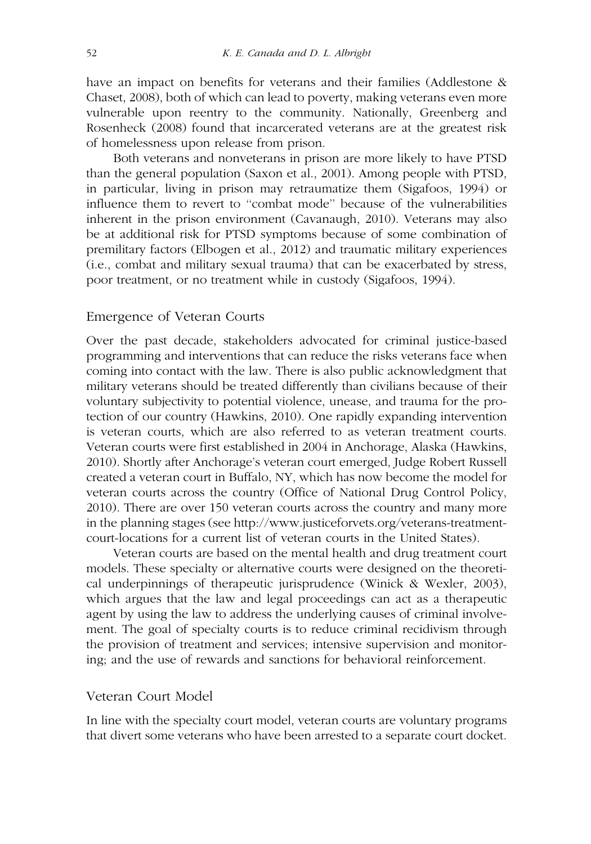have an impact on benefits for veterans and their families (Addlestone & Chaset, 2008), both of which can lead to poverty, making veterans even more vulnerable upon reentry to the community. Nationally, Greenberg and Rosenheck (2008) found that incarcerated veterans are at the greatest risk of homelessness upon release from prison.

Both veterans and nonveterans in prison are more likely to have PTSD than the general population (Saxon et al., 2001). Among people with PTSD, in particular, living in prison may retraumatize them (Sigafoos, 1994) or influence them to revert to ''combat mode'' because of the vulnerabilities inherent in the prison environment (Cavanaugh, 2010). Veterans may also be at additional risk for PTSD symptoms because of some combination of premilitary factors (Elbogen et al., 2012) and traumatic military experiences (i.e., combat and military sexual trauma) that can be exacerbated by stress, poor treatment, or no treatment while in custody (Sigafoos, 1994).

#### Emergence of Veteran Courts

Over the past decade, stakeholders advocated for criminal justice-based programming and interventions that can reduce the risks veterans face when coming into contact with the law. There is also public acknowledgment that military veterans should be treated differently than civilians because of their voluntary subjectivity to potential violence, unease, and trauma for the protection of our country (Hawkins, 2010). One rapidly expanding intervention is veteran courts, which are also referred to as veteran treatment courts. Veteran courts were first established in 2004 in Anchorage, Alaska (Hawkins, 2010). Shortly after Anchorage's veteran court emerged, Judge Robert Russell created a veteran court in Buffalo, NY, which has now become the model for veteran courts across the country (Office of National Drug Control Policy, 2010). There are over 150 veteran courts across the country and many more in the planning stages (see http://www.justiceforvets.org/veterans-treatmentcourt-locations for a current list of veteran courts in the United States).

Veteran courts are based on the mental health and drug treatment court models. These specialty or alternative courts were designed on the theoretical underpinnings of therapeutic jurisprudence (Winick & Wexler, 2003), which argues that the law and legal proceedings can act as a therapeutic agent by using the law to address the underlying causes of criminal involvement. The goal of specialty courts is to reduce criminal recidivism through the provision of treatment and services; intensive supervision and monitoring; and the use of rewards and sanctions for behavioral reinforcement.

# Veteran Court Model

In line with the specialty court model, veteran courts are voluntary programs that divert some veterans who have been arrested to a separate court docket.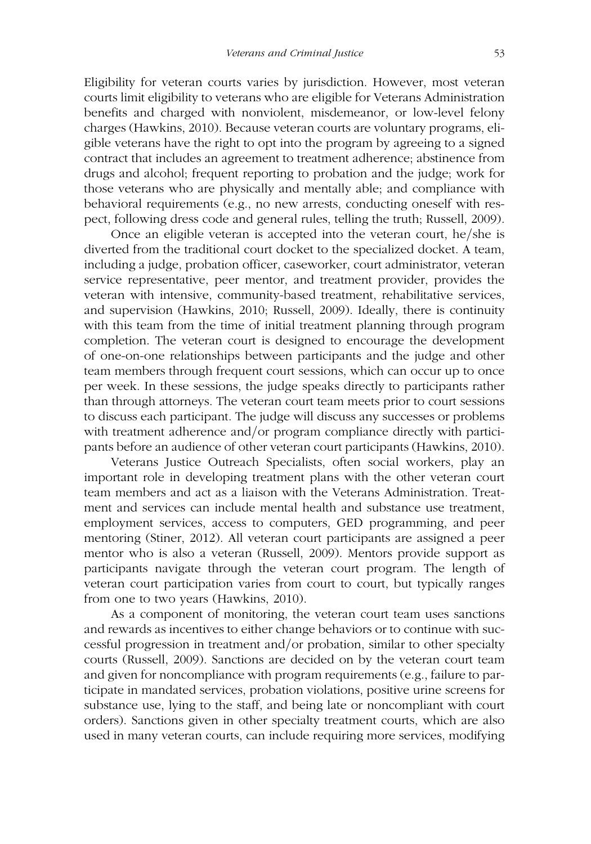Eligibility for veteran courts varies by jurisdiction. However, most veteran courts limit eligibility to veterans who are eligible for Veterans Administration benefits and charged with nonviolent, misdemeanor, or low-level felony charges (Hawkins, 2010). Because veteran courts are voluntary programs, eligible veterans have the right to opt into the program by agreeing to a signed contract that includes an agreement to treatment adherence; abstinence from drugs and alcohol; frequent reporting to probation and the judge; work for those veterans who are physically and mentally able; and compliance with behavioral requirements (e.g., no new arrests, conducting oneself with respect, following dress code and general rules, telling the truth; Russell, 2009).

Once an eligible veteran is accepted into the veteran court, he/she is diverted from the traditional court docket to the specialized docket. A team, including a judge, probation officer, caseworker, court administrator, veteran service representative, peer mentor, and treatment provider, provides the veteran with intensive, community-based treatment, rehabilitative services, and supervision (Hawkins, 2010; Russell, 2009). Ideally, there is continuity with this team from the time of initial treatment planning through program completion. The veteran court is designed to encourage the development of one-on-one relationships between participants and the judge and other team members through frequent court sessions, which can occur up to once per week. In these sessions, the judge speaks directly to participants rather than through attorneys. The veteran court team meets prior to court sessions to discuss each participant. The judge will discuss any successes or problems with treatment adherence and/or program compliance directly with participants before an audience of other veteran court participants (Hawkins, 2010).

Veterans Justice Outreach Specialists, often social workers, play an important role in developing treatment plans with the other veteran court team members and act as a liaison with the Veterans Administration. Treatment and services can include mental health and substance use treatment, employment services, access to computers, GED programming, and peer mentoring (Stiner, 2012). All veteran court participants are assigned a peer mentor who is also a veteran (Russell, 2009). Mentors provide support as participants navigate through the veteran court program. The length of veteran court participation varies from court to court, but typically ranges from one to two years (Hawkins, 2010).

As a component of monitoring, the veteran court team uses sanctions and rewards as incentives to either change behaviors or to continue with suc- $\cos$  cessful progression in treatment and/or probation, similar to other specialty courts (Russell, 2009). Sanctions are decided on by the veteran court team and given for noncompliance with program requirements (e.g., failure to participate in mandated services, probation violations, positive urine screens for substance use, lying to the staff, and being late or noncompliant with court orders). Sanctions given in other specialty treatment courts, which are also used in many veteran courts, can include requiring more services, modifying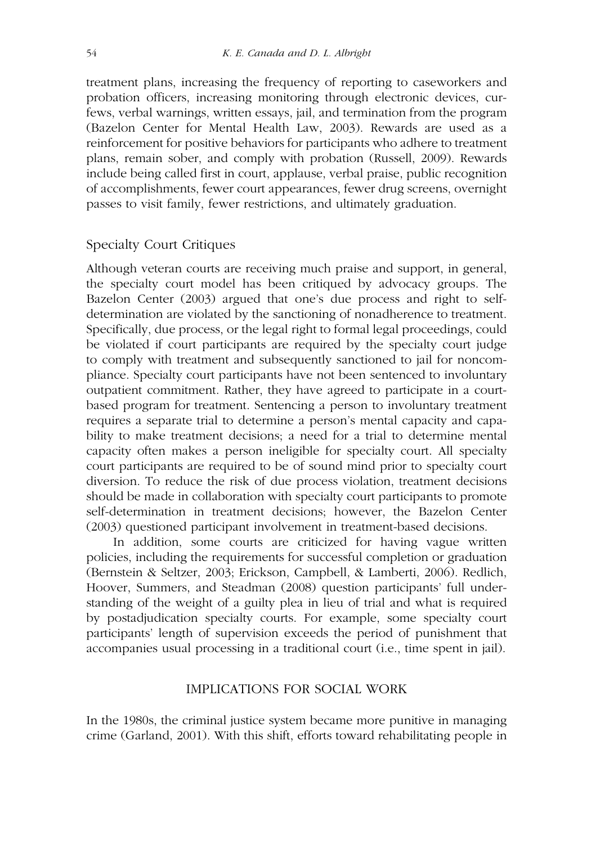treatment plans, increasing the frequency of reporting to caseworkers and probation officers, increasing monitoring through electronic devices, curfews, verbal warnings, written essays, jail, and termination from the program (Bazelon Center for Mental Health Law, 2003). Rewards are used as a reinforcement for positive behaviors for participants who adhere to treatment plans, remain sober, and comply with probation (Russell, 2009). Rewards include being called first in court, applause, verbal praise, public recognition of accomplishments, fewer court appearances, fewer drug screens, overnight passes to visit family, fewer restrictions, and ultimately graduation.

## Specialty Court Critiques

Although veteran courts are receiving much praise and support, in general, the specialty court model has been critiqued by advocacy groups. The Bazelon Center (2003) argued that one's due process and right to selfdetermination are violated by the sanctioning of nonadherence to treatment. Specifically, due process, or the legal right to formal legal proceedings, could be violated if court participants are required by the specialty court judge to comply with treatment and subsequently sanctioned to jail for noncompliance. Specialty court participants have not been sentenced to involuntary outpatient commitment. Rather, they have agreed to participate in a courtbased program for treatment. Sentencing a person to involuntary treatment requires a separate trial to determine a person's mental capacity and capability to make treatment decisions; a need for a trial to determine mental capacity often makes a person ineligible for specialty court. All specialty court participants are required to be of sound mind prior to specialty court diversion. To reduce the risk of due process violation, treatment decisions should be made in collaboration with specialty court participants to promote self-determination in treatment decisions; however, the Bazelon Center (2003) questioned participant involvement in treatment-based decisions.

In addition, some courts are criticized for having vague written policies, including the requirements for successful completion or graduation (Bernstein & Seltzer, 2003; Erickson, Campbell, & Lamberti, 2006). Redlich, Hoover, Summers, and Steadman (2008) question participants' full understanding of the weight of a guilty plea in lieu of trial and what is required by postadjudication specialty courts. For example, some specialty court participants' length of supervision exceeds the period of punishment that accompanies usual processing in a traditional court (i.e., time spent in jail).

#### IMPLICATIONS FOR SOCIAL WORK

In the 1980s, the criminal justice system became more punitive in managing crime (Garland, 2001). With this shift, efforts toward rehabilitating people in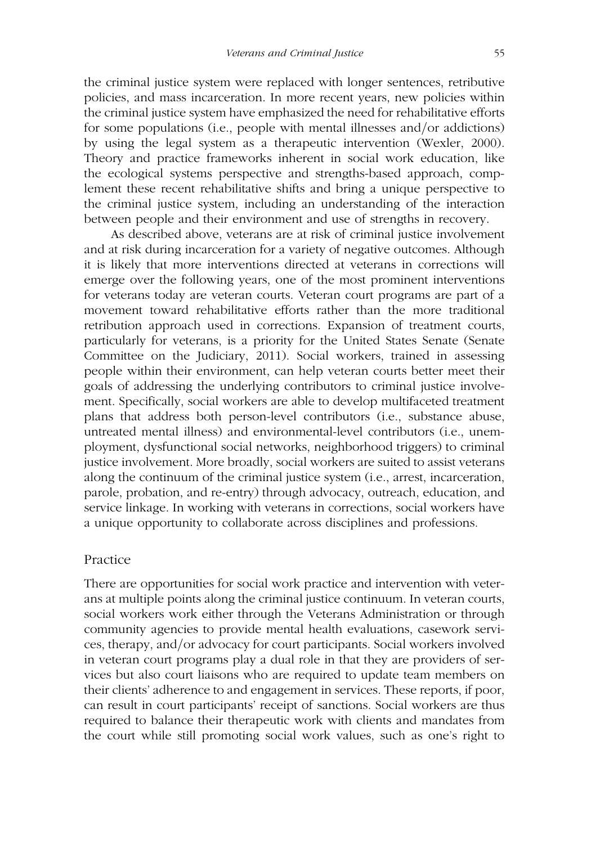the criminal justice system were replaced with longer sentences, retributive policies, and mass incarceration. In more recent years, new policies within the criminal justice system have emphasized the need for rehabilitative efforts for some populations (i.e., people with mental illnesses and/or addictions) by using the legal system as a therapeutic intervention (Wexler, 2000). Theory and practice frameworks inherent in social work education, like the ecological systems perspective and strengths-based approach, complement these recent rehabilitative shifts and bring a unique perspective to the criminal justice system, including an understanding of the interaction between people and their environment and use of strengths in recovery.

As described above, veterans are at risk of criminal justice involvement and at risk during incarceration for a variety of negative outcomes. Although it is likely that more interventions directed at veterans in corrections will emerge over the following years, one of the most prominent interventions for veterans today are veteran courts. Veteran court programs are part of a movement toward rehabilitative efforts rather than the more traditional retribution approach used in corrections. Expansion of treatment courts, particularly for veterans, is a priority for the United States Senate (Senate Committee on the Judiciary, 2011). Social workers, trained in assessing people within their environment, can help veteran courts better meet their goals of addressing the underlying contributors to criminal justice involvement. Specifically, social workers are able to develop multifaceted treatment plans that address both person-level contributors (i.e., substance abuse, untreated mental illness) and environmental-level contributors (i.e., unemployment, dysfunctional social networks, neighborhood triggers) to criminal justice involvement. More broadly, social workers are suited to assist veterans along the continuum of the criminal justice system (i.e., arrest, incarceration, parole, probation, and re-entry) through advocacy, outreach, education, and service linkage. In working with veterans in corrections, social workers have a unique opportunity to collaborate across disciplines and professions.

#### Practice

There are opportunities for social work practice and intervention with veterans at multiple points along the criminal justice continuum. In veteran courts, social workers work either through the Veterans Administration or through community agencies to provide mental health evaluations, casework services, therapy, and/or advocacy for court participants. Social workers involved in veteran court programs play a dual role in that they are providers of services but also court liaisons who are required to update team members on their clients' adherence to and engagement in services. These reports, if poor, can result in court participants' receipt of sanctions. Social workers are thus required to balance their therapeutic work with clients and mandates from the court while still promoting social work values, such as one's right to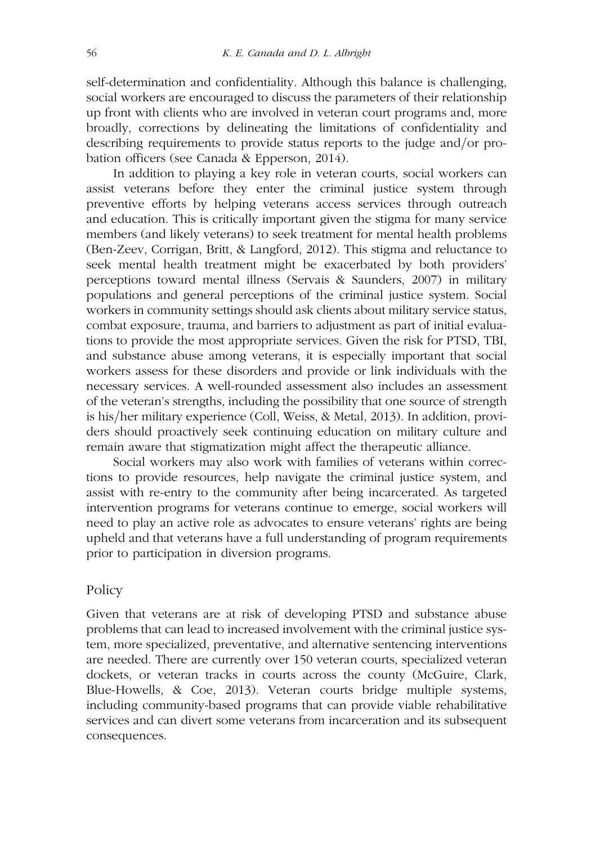self-determination and confidentiality. Although this balance is challenging, social workers are encouraged to discuss the parameters of their relationship up front with clients who are involved in veteran court programs and, more broadly, corrections by delineating the limitations of confidentiality and describing requirements to provide status reports to the judge and/or probation officers (see Canada & Epperson, 2014).

In addition to playing a key role in veteran courts, social workers can assist veterans before they enter the criminal justice system through preventive efforts by helping veterans access services through outreach and education. This is critically important given the stigma for many service members (and likely veterans) to seek treatment for mental health problems (Ben-Zeev, Corrigan, Britt, & Langford, 2012). This stigma and reluctance to seek mental health treatment might be exacerbated by both providers' perceptions toward mental illness (Servais & Saunders, 2007) in military populations and general perceptions of the criminal justice system. Social workers in community settings should ask clients about military service status, combat exposure, trauma, and barriers to adjustment as part of initial evaluations to provide the most appropriate services. Given the risk for PTSD, TBI, and substance abuse among veterans, it is especially important that social workers assess for these disorders and provide or link individuals with the necessary services. A well-rounded assessment also includes an assessment of the veteran's strengths, including the possibility that one source of strength is his/her military experience (Coll, Weiss, & Metal, 2013). In addition, providers should proactively seek continuing education on military culture and remain aware that stigmatization might affect the therapeutic alliance.

Social workers may also work with families of veterans within corrections to provide resources, help navigate the criminal justice system, and assist with re-entry to the community after being incarcerated. As targeted intervention programs for veterans continue to emerge, social workers will need to play an active role as advocates to ensure veterans' rights are being upheld and that veterans have a full understanding of program requirements prior to participation in diversion programs.

#### Policy

Given that veterans are at risk of developing PTSD and substance abuse problems that can lead to increased involvement with the criminal justice system, more specialized, preventative, and alternative sentencing interventions are needed. There are currently over 150 veteran courts, specialized veteran dockets, or veteran tracks in courts across the county (McGuire, Clark, Blue-Howells, & Coe, 2013). Veteran courts bridge multiple systems, including community-based programs that can provide viable rehabilitative services and can divert some veterans from incarceration and its subsequent consequences.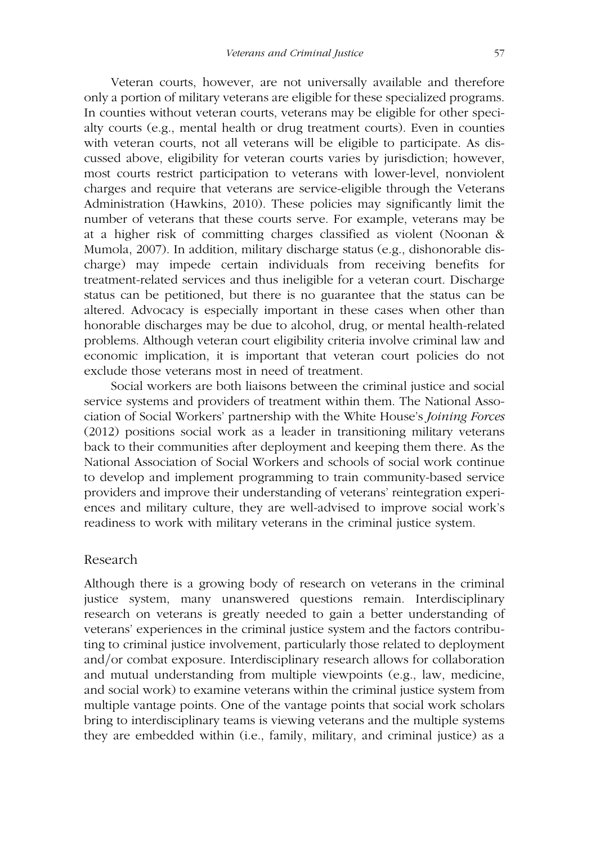Veteran courts, however, are not universally available and therefore only a portion of military veterans are eligible for these specialized programs. In counties without veteran courts, veterans may be eligible for other specialty courts (e.g., mental health or drug treatment courts). Even in counties with veteran courts, not all veterans will be eligible to participate. As discussed above, eligibility for veteran courts varies by jurisdiction; however, most courts restrict participation to veterans with lower-level, nonviolent charges and require that veterans are service-eligible through the Veterans Administration (Hawkins, 2010). These policies may significantly limit the number of veterans that these courts serve. For example, veterans may be at a higher risk of committing charges classified as violent (Noonan & Mumola, 2007). In addition, military discharge status (e.g., dishonorable discharge) may impede certain individuals from receiving benefits for treatment-related services and thus ineligible for a veteran court. Discharge status can be petitioned, but there is no guarantee that the status can be altered. Advocacy is especially important in these cases when other than honorable discharges may be due to alcohol, drug, or mental health-related problems. Although veteran court eligibility criteria involve criminal law and economic implication, it is important that veteran court policies do not exclude those veterans most in need of treatment.

Social workers are both liaisons between the criminal justice and social service systems and providers of treatment within them. The National Association of Social Workers' partnership with the White House's Joining Forces (2012) positions social work as a leader in transitioning military veterans back to their communities after deployment and keeping them there. As the National Association of Social Workers and schools of social work continue to develop and implement programming to train community-based service providers and improve their understanding of veterans' reintegration experiences and military culture, they are well-advised to improve social work's readiness to work with military veterans in the criminal justice system.

## Research

Although there is a growing body of research on veterans in the criminal justice system, many unanswered questions remain. Interdisciplinary research on veterans is greatly needed to gain a better understanding of veterans' experiences in the criminal justice system and the factors contributing to criminal justice involvement, particularly those related to deployment and/or combat exposure. Interdisciplinary research allows for collaboration and mutual understanding from multiple viewpoints (e.g., law, medicine, and social work) to examine veterans within the criminal justice system from multiple vantage points. One of the vantage points that social work scholars bring to interdisciplinary teams is viewing veterans and the multiple systems they are embedded within (i.e., family, military, and criminal justice) as a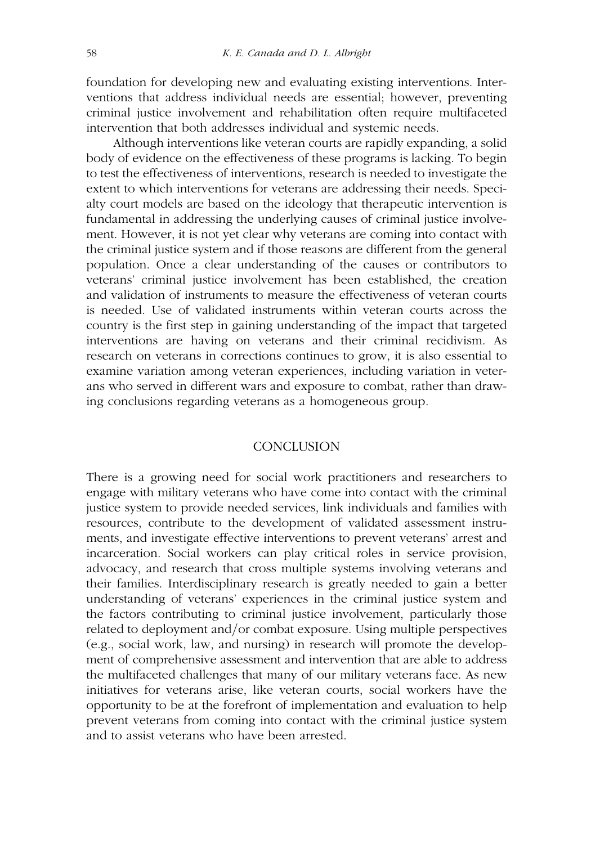foundation for developing new and evaluating existing interventions. Interventions that address individual needs are essential; however, preventing criminal justice involvement and rehabilitation often require multifaceted intervention that both addresses individual and systemic needs.

Although interventions like veteran courts are rapidly expanding, a solid body of evidence on the effectiveness of these programs is lacking. To begin to test the effectiveness of interventions, research is needed to investigate the extent to which interventions for veterans are addressing their needs. Specialty court models are based on the ideology that therapeutic intervention is fundamental in addressing the underlying causes of criminal justice involvement. However, it is not yet clear why veterans are coming into contact with the criminal justice system and if those reasons are different from the general population. Once a clear understanding of the causes or contributors to veterans' criminal justice involvement has been established, the creation and validation of instruments to measure the effectiveness of veteran courts is needed. Use of validated instruments within veteran courts across the country is the first step in gaining understanding of the impact that targeted interventions are having on veterans and their criminal recidivism. As research on veterans in corrections continues to grow, it is also essential to examine variation among veteran experiences, including variation in veterans who served in different wars and exposure to combat, rather than drawing conclusions regarding veterans as a homogeneous group.

## **CONCLUSION**

There is a growing need for social work practitioners and researchers to engage with military veterans who have come into contact with the criminal justice system to provide needed services, link individuals and families with resources, contribute to the development of validated assessment instruments, and investigate effective interventions to prevent veterans' arrest and incarceration. Social workers can play critical roles in service provision, advocacy, and research that cross multiple systems involving veterans and their families. Interdisciplinary research is greatly needed to gain a better understanding of veterans' experiences in the criminal justice system and the factors contributing to criminal justice involvement, particularly those related to deployment and/or combat exposure. Using multiple perspectives (e.g., social work, law, and nursing) in research will promote the development of comprehensive assessment and intervention that are able to address the multifaceted challenges that many of our military veterans face. As new initiatives for veterans arise, like veteran courts, social workers have the opportunity to be at the forefront of implementation and evaluation to help prevent veterans from coming into contact with the criminal justice system and to assist veterans who have been arrested.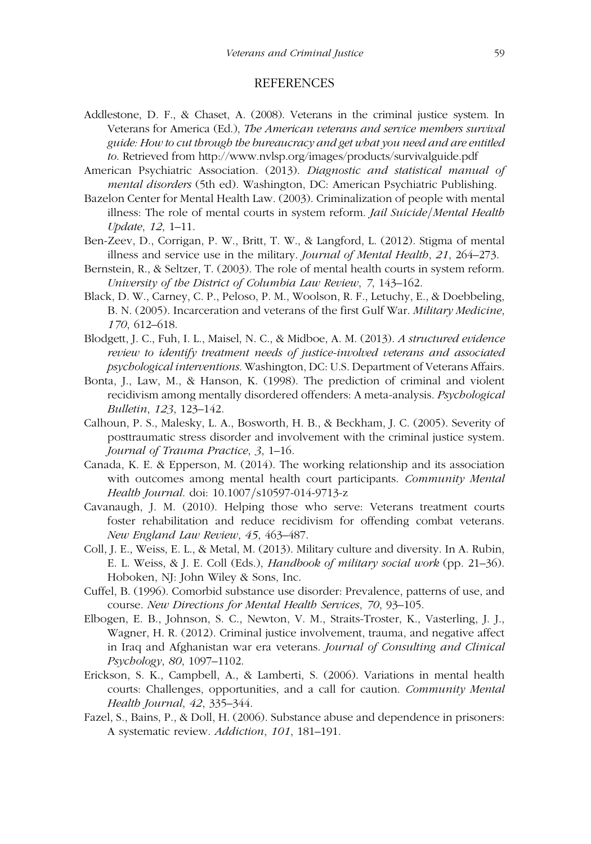#### **REFERENCES**

- Addlestone, D. F., & Chaset, A. (2008). Veterans in the criminal justice system. In Veterans for America (Ed.), The American veterans and service members survival guide: How to cut through the bureaucracy and get what you need and are entitled to. Retrieved from http://www.nvlsp.org/images/products/survivalguide.pdf
- American Psychiatric Association. (2013). Diagnostic and statistical manual of mental disorders (5th ed). Washington, DC: American Psychiatric Publishing.
- Bazelon Center for Mental Health Law. (2003). Criminalization of people with mental illness: The role of mental courts in system reform. *Jail Suicide*/Mental Health Update, 12, 1–11.
- Ben-Zeev, D., Corrigan, P. W., Britt, T. W., & Langford, L. (2012). Stigma of mental illness and service use in the military. Journal of Mental Health, 21, 264–273.
- Bernstein, R., & Seltzer, T. (2003). The role of mental health courts in system reform. University of the District of Columbia Law Review, 7, 143–162.
- Black, D. W., Carney, C. P., Peloso, P. M., Woolson, R. F., Letuchy, E., & Doebbeling, B. N. (2005). Incarceration and veterans of the first Gulf War. Military Medicine, 170, 612–618.
- Blodgett, J. C., Fuh, I. L., Maisel, N. C., & Midboe, A. M. (2013). A structured evidence review to identify treatment needs of justice-involved veterans and associated psychological interventions. Washington, DC: U.S. Department of Veterans Affairs.
- Bonta, J., Law, M., & Hanson, K. (1998). The prediction of criminal and violent recidivism among mentally disordered offenders: A meta-analysis. Psychological Bulletin, 123, 123–142.
- Calhoun, P. S., Malesky, L. A., Bosworth, H. B., & Beckham, J. C. (2005). Severity of posttraumatic stress disorder and involvement with the criminal justice system. Journal of Trauma Practice, 3, 1–16.
- Canada, K. E. & Epperson, M. (2014). The working relationship and its association with outcomes among mental health court participants. Community Mental Health Journal. doi: 10.1007/s10597-014-9713-z
- Cavanaugh, J. M. (2010). Helping those who serve: Veterans treatment courts foster rehabilitation and reduce recidivism for offending combat veterans. New England Law Review, 45, 463–487.
- Coll, J. E., Weiss, E. L., & Metal, M. (2013). Military culture and diversity. In A. Rubin, E. L. Weiss, & J. E. Coll (Eds.), Handbook of military social work (pp. 21–36). Hoboken, NJ: John Wiley & Sons, Inc.
- Cuffel, B. (1996). Comorbid substance use disorder: Prevalence, patterns of use, and course. New Directions for Mental Health Services, 70, 93–105.
- Elbogen, E. B., Johnson, S. C., Newton, V. M., Straits-Troster, K., Vasterling, J. J., Wagner, H. R. (2012). Criminal justice involvement, trauma, and negative affect in Iraq and Afghanistan war era veterans. Journal of Consulting and Clinical Psychology, 80, 1097–1102.
- Erickson, S. K., Campbell, A., & Lamberti, S. (2006). Variations in mental health courts: Challenges, opportunities, and a call for caution. Community Mental Health Journal, 42, 335–344.
- Fazel, S., Bains, P., & Doll, H. (2006). Substance abuse and dependence in prisoners: A systematic review. Addiction, 101, 181–191.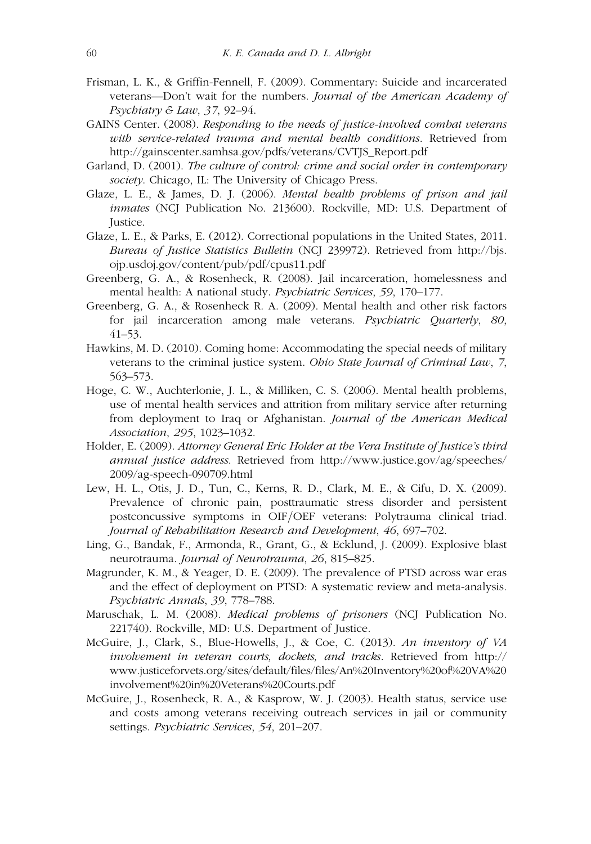- Frisman, L. K., & Griffin-Fennell, F. (2009). Commentary: Suicide and incarcerated veterans—Don't wait for the numbers. Journal of the American Academy of Psychiatry & Law, 37, 92–94.
- GAINS Center. (2008). Responding to the needs of justice-involved combat veterans with service-related trauma and mental health conditions. Retrieved from http://gainscenter.samhsa.gov/pdfs/veterans/CVTJS\_Report.pdf
- Garland, D. (2001). The culture of control: crime and social order in contemporary society. Chicago, IL: The University of Chicago Press.
- Glaze, L. E., & James, D. J. (2006). Mental health problems of prison and jail inmates (NCJ Publication No. 213600). Rockville, MD: U.S. Department of Justice.
- Glaze, L. E., & Parks, E. (2012). Correctional populations in the United States, 2011. Bureau of Justice Statistics Bulletin (NCJ 239972). Retrieved from http://bjs. ojp.usdoj.gov/content/pub/pdf/cpus11.pdf
- Greenberg, G. A., & Rosenheck, R. (2008). Jail incarceration, homelessness and mental health: A national study. Psychiatric Services, 59, 170-177.
- Greenberg, G. A., & Rosenheck R. A. (2009). Mental health and other risk factors for jail incarceration among male veterans. Psychiatric Quarterly, 80, 41–53.
- Hawkins, M. D. (2010). Coming home: Accommodating the special needs of military veterans to the criminal justice system. Ohio State Journal of Criminal Law, 7, 563–573.
- Hoge, C. W., Auchterlonie, J. L., & Milliken, C. S. (2006). Mental health problems, use of mental health services and attrition from military service after returning from deployment to Iraq or Afghanistan. Journal of the American Medical Association, 295, 1023–1032.
- Holder, E. (2009). Attorney General Eric Holder at the Vera Institute of Justice's third annual justice address. Retrieved from http://www.justice.gov/ag/speeches/ 2009/ag-speech-090709.html
- Lew, H. L., Otis, J. D., Tun, C., Kerns, R. D., Clark, M. E., & Cifu, D. X. (2009). Prevalence of chronic pain, posttraumatic stress disorder and persistent postconcussive symptoms in OIF/OEF veterans: Polytrauma clinical triad. Journal of Rehabilitation Research and Development, 46, 697–702.
- Ling, G., Bandak, F., Armonda, R., Grant, G., & Ecklund, J. (2009). Explosive blast neurotrauma. Journal of Neurotrauma, 26, 815–825.
- Magrunder, K. M., & Yeager, D. E. (2009). The prevalence of PTSD across war eras and the effect of deployment on PTSD: A systematic review and meta-analysis. Psychiatric Annals, 39, 778–788.
- Maruschak, L. M. (2008). Medical problems of prisoners (NCJ Publication No. 221740). Rockville, MD: U.S. Department of Justice.
- McGuire, J., Clark, S., Blue-Howells, J., & Coe, C. (2013). An inventory of VA involvement in veteran courts, dockets, and tracks. Retrieved from http:// www.justiceforvets.org/sites/default/files/files/An%20Inventory%20of%20VA%20 involvement%20in%20Veterans%20Courts.pdf
- McGuire, J., Rosenheck, R. A., & Kasprow, W. J. (2003). Health status, service use and costs among veterans receiving outreach services in jail or community settings. Psychiatric Services, 54, 201–207.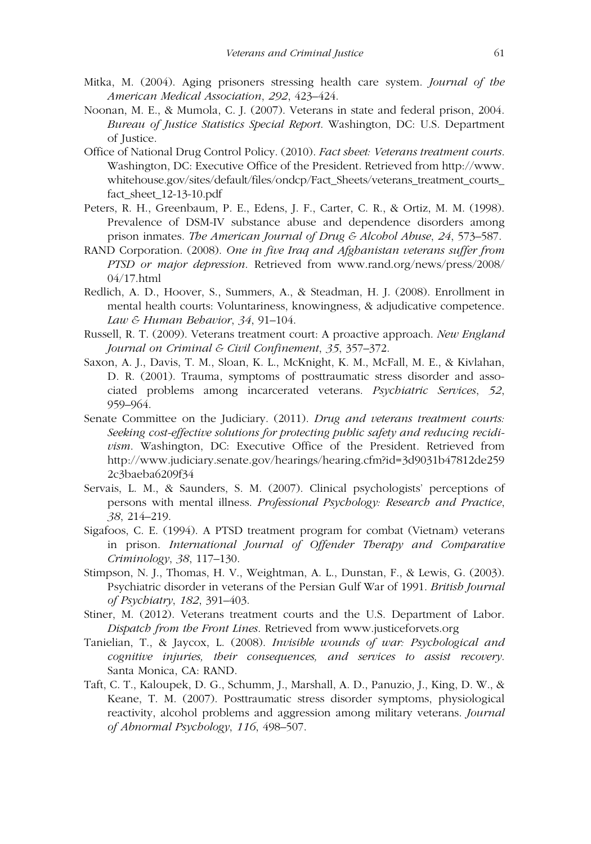- Mitka, M. (2004). Aging prisoners stressing health care system. Journal of the American Medical Association, 292, 423–424.
- Noonan, M. E., & Mumola, C. J. (2007). Veterans in state and federal prison, 2004. Bureau of Justice Statistics Special Report. Washington, DC: U.S. Department of Justice.
- Office of National Drug Control Policy. (2010). Fact sheet: Veterans treatment courts. Washington, DC: Executive Office of the President. Retrieved from http://www. whitehouse.gov/sites/default/files/ondcp/Fact\_Sheets/veterans\_treatment\_courts\_ fact\_sheet\_12-13-10.pdf
- Peters, R. H., Greenbaum, P. E., Edens, J. F., Carter, C. R., & Ortiz, M. M. (1998). Prevalence of DSM-IV substance abuse and dependence disorders among prison inmates. The American Journal of Drug & Alcohol Abuse, 24, 573-587.
- RAND Corporation. (2008). One in five Iraq and Afghanistan veterans suffer from PTSD or major depression. Retrieved from www.rand.org/news/press/2008/ 04/17.html
- Redlich, A. D., Hoover, S., Summers, A., & Steadman, H. J. (2008). Enrollment in mental health courts: Voluntariness, knowingness, & adjudicative competence. Law & Human Behavior, 34, 91–104.
- Russell, R. T. (2009). Veterans treatment court: A proactive approach. New England Journal on Criminal & Civil Confinement, 35, 357–372.
- Saxon, A. J., Davis, T. M., Sloan, K. L., McKnight, K. M., McFall, M. E., & Kivlahan, D. R. (2001). Trauma, symptoms of posttraumatic stress disorder and associated problems among incarcerated veterans. Psychiatric Services, 52, 959–964.
- Senate Committee on the Judiciary. (2011). Drug and veterans treatment courts: Seeking cost-effective solutions for protecting public safety and reducing recidivism. Washington, DC: Executive Office of the President. Retrieved from http://www.judiciary.senate.gov/hearings/hearing.cfm?id=3d9031b47812de259 2c3baeba6209f34
- Servais, L. M., & Saunders, S. M. (2007). Clinical psychologists' perceptions of persons with mental illness. Professional Psychology: Research and Practice, 38, 214–219.
- Sigafoos, C. E. (1994). A PTSD treatment program for combat (Vietnam) veterans in prison. International Journal of Offender Therapy and Comparative Criminology, 38, 117–130.
- Stimpson, N. J., Thomas, H. V., Weightman, A. L., Dunstan, F., & Lewis, G. (2003). Psychiatric disorder in veterans of the Persian Gulf War of 1991. British Journal of Psychiatry, 182, 391–403.
- Stiner, M. (2012). Veterans treatment courts and the U.S. Department of Labor. Dispatch from the Front Lines. Retrieved from www.justiceforvets.org
- Tanielian, T., & Jaycox, L. (2008). Invisible wounds of war: Psychological and cognitive injuries, their consequences, and services to assist recovery. Santa Monica, CA: RAND.
- Taft, C. T., Kaloupek, D. G., Schumm, J., Marshall, A. D., Panuzio, J., King, D. W., & Keane, T. M. (2007). Posttraumatic stress disorder symptoms, physiological reactivity, alcohol problems and aggression among military veterans. Journal of Abnormal Psychology, 116, 498–507.